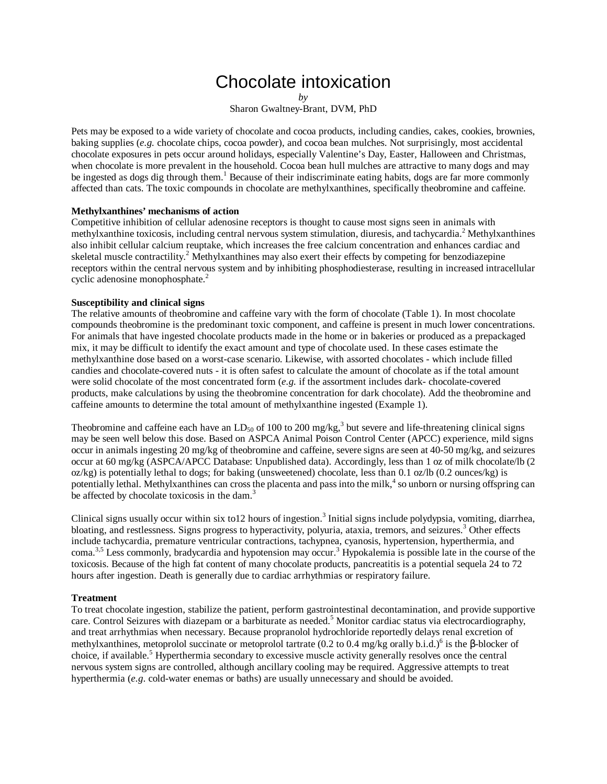# Chocolate intoxication

*by*

Sharon Gwaltney-Brant, DVM, PhD

Pets may be exposed to a wide variety of chocolate and cocoa products, including candies, cakes, cookies, brownies, baking supplies (*e.g.* chocolate chips, cocoa powder), and cocoa bean mulches. Not surprisingly, most accidental chocolate exposures in pets occur around holidays, especially Valentine's Day, Easter, Halloween and Christmas, when chocolate is more prevalent in the household. Cocoa bean hull mulches are attractive to many dogs and may be ingested as dogs dig through them.<sup>1</sup> Because of their indiscriminate eating habits, dogs are far more commonly affected than cats. The toxic compounds in chocolate are methylxanthines, specifically theobromine and caffeine.

#### **Methylxanthines' mechanisms of action**

Competitive inhibition of cellular adenosine receptors is thought to cause most signs seen in animals with methylxanthine toxicosis, including central nervous system stimulation, diuresis, and tachycardia. <sup>2</sup> Methylxanthines also inhibit cellular calcium reuptake, which increases the free calcium concentration and enhances cardiac and skeletal muscle contractility.<sup>2</sup> Methylxanthines may also exert their effects by competing for benzodiazepine receptors within the central nervous system and by inhibiting phosphodiesterase, resulting in increased intracellular cyclic adenosine monophosphate. 2

### **Susceptibility and clinical signs**

The relative amounts of theobromine and caffeine vary with the form of chocolate (Table 1). In most chocolate compounds theobromine is the predominant toxic component, and caffeine is present in much lower concentrations. For animals that have ingested chocolate products made in the home or in bakeries or produced as a prepackaged mix, it may be difficult to identify the exact amount and type of chocolate used. In these cases estimate the methylxanthine dose based on a worst-case scenario. Likewise, with assorted chocolates - which include filled candies and chocolate-covered nuts - it is often safest to calculate the amount of chocolate as if the total amount were solid chocolate of the most concentrated form (*e.g.* if the assortment includes dark- chocolate-covered products, make calculations by using the theobromine concentration for dark chocolate). Add the theobromine and caffeine amounts to determine the total amount of methylxanthine ingested (Example 1).

Theobromine and caffeine each have an  $LD_{50}$  of 100 to 200 mg/kg,<sup>3</sup> but severe and life-threatening clinical signs may be seen well below this dose. Based on ASPCA Animal Poison Control Center (APCC) experience, mild signs occur in animals ingesting 20 mg/kg of theobromine and caffeine, severe signs are seen at 40-50 mg/kg, and seizures occur at 60 mg/kg (ASPCA/APCC Database: Unpublished data). Accordingly, less than 1 oz of milk chocolate/lb (2  $oz/kg$ ) is potentially lethal to dogs; for baking (unsweetened) chocolate, less than 0.1 oz/lb (0.2 ounces/kg) is potentially lethal. Methylxanthines can cross the placenta and pass into the milk, 4 so unborn or nursing offspring can be affected by chocolate toxicosis in the dam.<sup>3</sup>

Clinical signs usually occur within six to12 hours of ingestion.<sup>3</sup> Initial signs include polydypsia, vomiting, diarrhea, bloating, and restlessness. Signs progress to hyperactivity, polyuria, ataxia, tremors, and seizures. <sup>3</sup> Other effects include tachycardia, premature ventricular contractions, tachypnea, cyanosis, hypertension, hyperthermia, and coma.<sup>3,5</sup> Less commonly, bradycardia and hypotension may occur.<sup>3</sup> Hypokalemia is possible late in the course of the toxicosis. Because of the high fat content of many chocolate products, pancreatitis is a potential sequela 24 to 72 hours after ingestion. Death is generally due to cardiac arrhythmias or respiratory failure.

#### **Treatment**

To treat chocolate ingestion, stabilize the patient, perform gastrointestinal decontamination, and provide supportive care. Control Seizures with diazepam or a barbiturate as needed. <sup>5</sup> Monitor cardiac status via electrocardiography, and treat arrhythmias when necessary. Because propranolol hydrochloride reportedly delays renal excretion of methylxanthines, metoprolol succinate or metoprolol tartrate (0.2 to 0.4 mg/kg orally b.i.d.)<sup>6</sup> is the β-blocker of choice, if available. <sup>5</sup> Hyperthermia secondary to excessive muscle activity generally resolves once the central nervous system signs are controlled, although ancillary cooling may be required. Aggressive attempts to treat hyperthermia (*e.g*. cold-water enemas or baths) are usually unnecessary and should be avoided.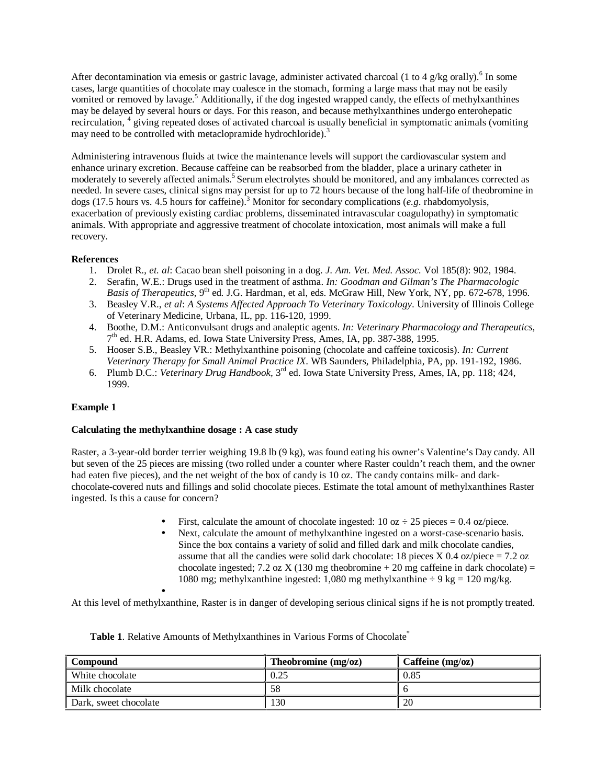After decontamination via emesis or gastric lavage, administer activated charcoal (1 to 4 g/kg orally).<sup>6</sup> In some cases, large quantities of chocolate may coalesce in the stomach, forming a large mass that may not be easily vomited or removed by lavage.<sup>5</sup> Additionally, if the dog ingested wrapped candy, the effects of methylxanthines may be delayed by several hours or days. For this reason, and because methylxanthines undergo enterohepatic recirculation, <sup>4</sup> giving repeated doses of activated charcoal is usually beneficial in symptomatic animals (vomiting may need to be controlled with metaclopramide hydrochloride).<sup>3</sup>

Administering intravenous fluids at twice the maintenance levels will support the cardiovascular system and enhance urinary excretion. Because caffeine can be reabsorbed from the bladder, place a urinary catheter in moderately to severely affected animals. 5 Serum electrolytes should be monitored, and any imbalances corrected as needed. In severe cases, clinical signs may persist for up to 72 hours because of the long half-life of theobromine in dogs (17.5 hours vs. 4.5 hours for caffeine). <sup>3</sup> Monitor for secondary complications (*e.g*. rhabdomyolysis, exacerbation of previously existing cardiac problems, disseminated intravascular coagulopathy) in symptomatic animals. With appropriate and aggressive treatment of chocolate intoxication, most animals will make a full recovery.

## **References**

- 1. Drolet R., *et. al*: Cacao bean shell poisoning in a dog. *J. Am. Vet. Med. Assoc.* Vol 185(8): 902, 1984.
- 2. Serafin, W.E.: Drugs used in the treatment of asthma. *In: Goodman and Gilman's The Pharmacologic*
- Basis of Therapeutics, 9<sup>th</sup> ed. J.G. Hardman, et al, eds. McGraw Hill, New York, NY, pp. 672-678, 1996. 3. Beasley V.R., *et al*: *A Systems Affected Approach To Veterinary Toxicology*. University of Illinois College of Veterinary Medicine, Urbana, IL, pp. 116-120, 1999.
- 4. Boothe, D.M.: Anticonvulsant drugs and analeptic agents. *In: Veterinary Pharmacology and Therapeutics*, 7<sup>th</sup> ed. H.R. Adams, ed. Iowa State University Press, Ames, IA, pp. 387-388, 1995.
- 5. Hooser S.B., Beasley VR.: Methylxanthine poisoning (chocolate and caffeine toxicosis). *In: Current Veterinary Therapy for Small Animal Practice IX*. WB Saunders, Philadelphia, PA, pp. 191-192, 1986.
- 6. Plumb D.C.: *Veterinary Drug Handbook*, 3<sup>rd</sup> ed. Iowa State University Press, Ames, IA, pp. 118; 424, 1999.

## **Example 1**

## **Calculating the methylxanthine dosage : A case study**

Raster, a 3-year-old border terrier weighing 19.8 lb (9 kg), was found eating his owner's Valentine's Day candy. All but seven of the 25 pieces are missing (two rolled under a counter where Raster couldn't reach them, and the owner had eaten five pieces), and the net weight of the box of candy is 10 oz. The candy contains milk- and darkchocolate-covered nuts and fillings and solid chocolate pieces. Estimate the total amount of methylxanthines Raster ingested. Is this a cause for concern?

- First, calculate the amount of chocolate ingested:  $10 \text{ oz} \div 25 \text{ pieces} = 0.4 \text{ oz/piece.}$
- Next, calculate the amount of methylxanthine ingested on a worst-case-scenario basis. Since the box contains a variety of solid and filled dark and milk chocolate candies, assume that all the candies were solid dark chocolate: 18 pieces  $X$  0.4 oz/piece = 7.2 oz chocolate ingested; 7.2 oz X (130 mg theobromine  $+ 20$  mg caffeine in dark chocolate) = 1080 mg; methylxanthine ingested: 1,080 mg methylxanthine  $\div$  9 kg = 120 mg/kg.

• At this level of methylxanthine, Raster is in danger of developing serious clinical signs if he is not promptly treated.

| <b>Compound</b>       | Theobromine $(mg/\omega z)$ | Caffeine $(mg/\omega z)$ |
|-----------------------|-----------------------------|--------------------------|
| White chocolate       | 0.25                        | 0.85                     |
| Milk chocolate        | 58                          |                          |
| Dark, sweet chocolate | 130                         | 20                       |

Table 1. Relative Amounts of Methylxanthines in Various Forms of Chocolate<sup>\*</sup>